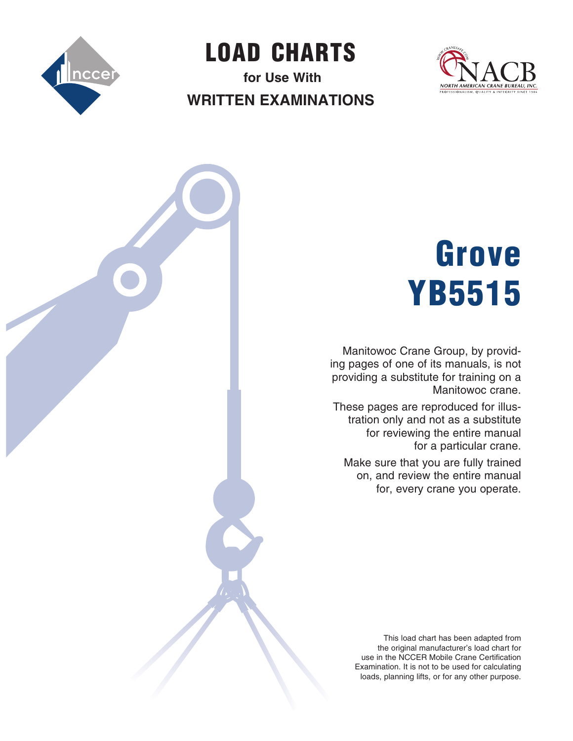

LOAD  CHARTS **for Use With**

**Written Examinations**



## Grove YB5515

Manitowoc Crane Group, by providing pages of one of its manuals, is not providing a substitute for training on a Manitowoc crane.

These pages are reproduced for illustration only and not as a substitute for reviewing the entire manual for a particular crane.

Make sure that you are fully trained on, and review the entire manual for, every crane you operate.

This load chart has been adapted from the original manufacturer's load chart for use in the NCCER Mobile Crane Certification Examination. It is not to be used for calculating loads, planning lifts, or for any other purpose.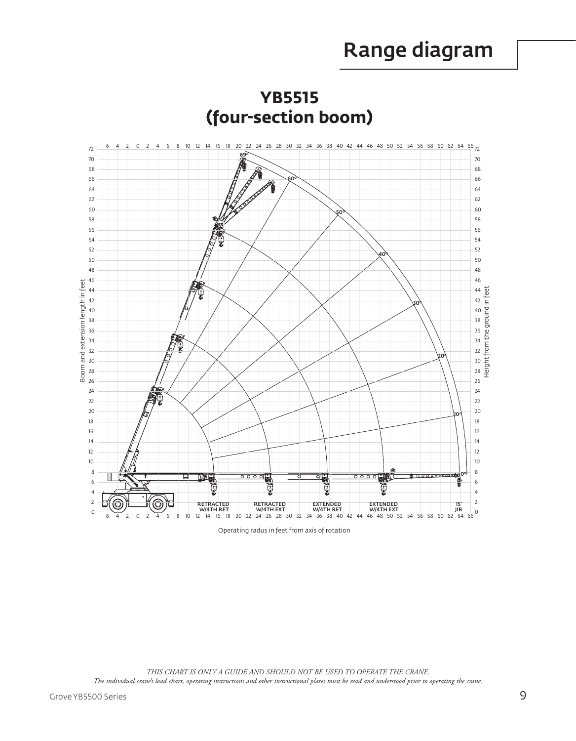## Range diagram



**YB5515** 

Operating radus in feet from axis of rotation

THIS CHART IS ONLY A GUIDE AND SHOULD NOT BE USED TO OPERATE THE CRANE. The individual crane's load chart, operating instructions and other instructional plates must be read and understood prior to operating the crane.